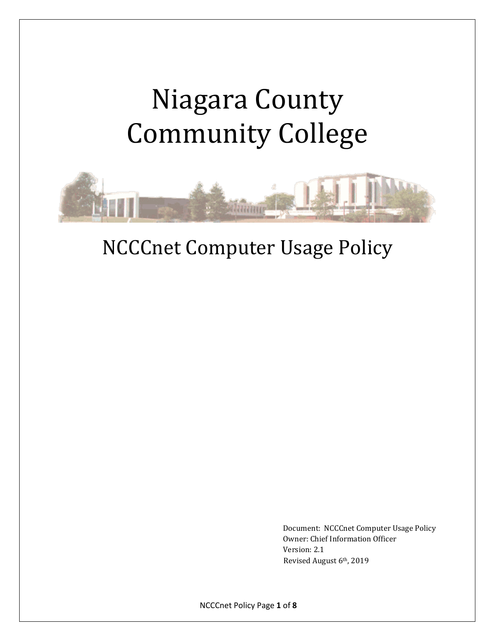# Niagara County Community College



# NCCCnet Computer Usage Policy

Document: NCCCnet Computer Usage Policy Owner: Chief Information Officer Version: 2.1 Revised August 6th, 2019

NCCCnet Policy Page **1** of **8**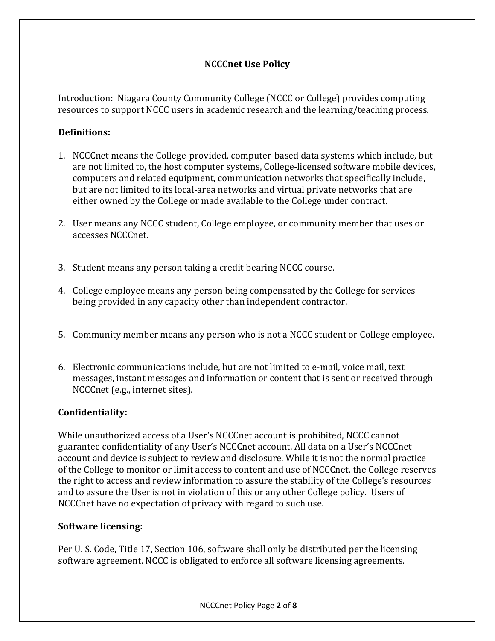# **NCCCnet Use Policy**

Introduction: Niagara County Community College (NCCC or College) provides computing resources to support NCCC users in academic research and the learning/teaching process.

# **Definitions:**

- 1. NCCCnet means the College-provided, computer-based data systems which include, but are not limited to, the host computer systems, College-licensed software mobile devices, computers and related equipment, communication networks that specifically include, but are not limited to its local-area networks and virtual private networks that are either owned by the College or made available to the College under contract.
- 2. User means any NCCC student, College employee, or community member that uses or accesses NCCCnet.
- 3. Student means any person taking a credit bearing NCCC course.
- 4. College employee means any person being compensated by the College for services being provided in any capacity other than independent contractor.
- 5. Community member means any person who is not a NCCC student or College employee.
- 6. Electronic communications include, but are not limited to e-mail, voice mail, text messages, instant messages and information or content that is sent or received through NCCCnet (e.g., internet sites).

## **Confidentiality:**

While unauthorized access of a User's NCCCnet account is prohibited, NCCC cannot guarantee confidentiality of any User's NCCCnet account. All data on a User's NCCCnet account and device is subject to review and disclosure. While it is not the normal practice of the College to monitor or limit access to content and use of NCCCnet, the College reserves the right to access and review information to assure the stability of the College's resources and to assure the User is not in violation of this or any other College policy. Users of NCCCnet have no expectation of privacy with regard to such use.

## **Software licensing:**

Per U. S. Code, Title 17, Section 106, software shall only be distributed per the licensing software agreement. NCCC is obligated to enforce all software licensing agreements.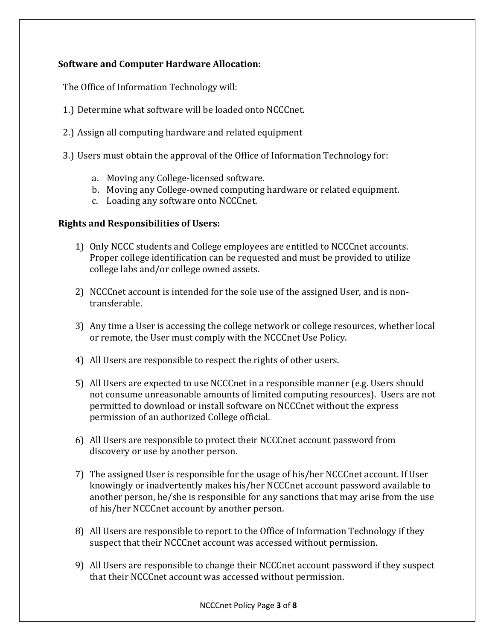# **Software and Computer Hardware Allocation:**

The Office of Information Technology will:

- 1.) Determine what software will be loaded onto NCCCnet.
- 2.) Assign all computing hardware and related equipment
- 3.) Users must obtain the approval of the Office of Information Technology for:
	- a. Moving any College-licensed software.
	- b. Moving any College-owned computing hardware or related equipment.
	- c. Loading any software onto NCCCnet.

#### **Rights and Responsibilities of Users:**

- 1) Only NCCC students and College employees are entitled to NCCCnet accounts. Proper college identification can be requested and must be provided to utilize college labs and/or college owned assets.
- 2) NCCCnet account is intended for the sole use of the assigned User, and is nontransferable.
- 3) Any time a User is accessing the college network or college resources, whether local or remote, the User must comply with the NCCCnet Use Policy.
- 4) All Users are responsible to respect the rights of other users.
- 5) All Users are expected to use NCCCnet in a responsible manner (e.g. Users should not consume unreasonable amounts of limited computing resources). Users are not permitted to download or install software on NCCCnet without the express permission of an authorized College official.
- 6) All Users are responsible to protect their NCCCnet account password from discovery or use by another person.
- 7) The assigned User is responsible for the usage of his/her NCCCnet account. If User knowingly or inadvertently makes his/her NCCCnet account password available to another person, he/she is responsible for any sanctions that may arise from the use of his/her NCCCnet account by another person.
- 8) All Users are responsible to report to the Office of Information Technology if they suspect that their NCCCnet account was accessed without permission.
- 9) All Users are responsible to change their NCCCnet account password if they suspect that their NCCCnet account was accessed without permission.

NCCCnet Policy Page **3** of **8**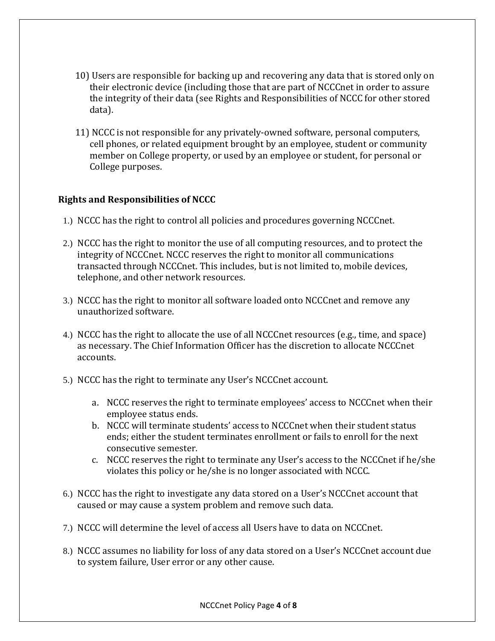- 10) Users are responsible for backing up and recovering any data that is stored only on their electronic device (including those that are part of NCCCnet in order to assure the integrity of their data (see Rights and Responsibilities of NCCC for other stored data).
- 11) NCCC is not responsible for any privately-owned software, personal computers, cell phones, or related equipment brought by an employee, student or community member on College property, or used by an employee or student, for personal or College purposes.

## **Rights and Responsibilities of NCCC**

- 1.) NCCC has the right to control all policies and procedures governing NCCCnet.
- 2.) NCCC has the right to monitor the use of all computing resources, and to protect the integrity of NCCCnet. NCCC reserves the right to monitor all communications transacted through NCCCnet. This includes, but is not limited to, mobile devices, telephone, and other network resources.
- 3.) NCCC has the right to monitor all software loaded onto NCCCnet and remove any unauthorized software.
- 4.) NCCC has the right to allocate the use of all NCCCnet resources (e.g., time, and space) as necessary. The Chief Information Officer has the discretion to allocate NCCCnet accounts.
- 5.) NCCC has the right to terminate any User's NCCCnet account.
	- a. NCCC reserves the right to terminate employees' access to NCCCnet when their employee status ends.
	- b. NCCC will terminate students' access to NCCCnet when their student status ends; either the student terminates enrollment or fails to enroll for the next consecutive semester.
	- c. NCCC reserves the right to terminate any User's access to the NCCCnet if he/she violates this policy or he/she is no longer associated with NCCC.
- 6.) NCCC has the right to investigate any data stored on a User's NCCCnet account that caused or may cause a system problem and remove such data.
- 7.) NCCC will determine the level of access all Users have to data on NCCCnet.
- 8.) NCCC assumes no liability for loss of any data stored on a User's NCCCnet account due to system failure, User error or any other cause.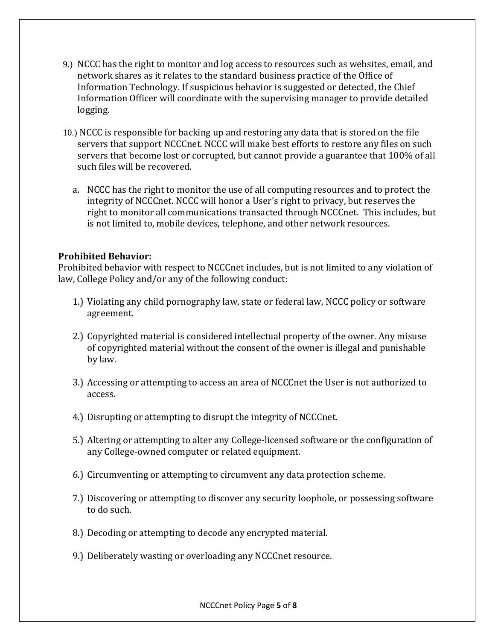- 9.) NCCC has the right to monitor and log access to resources such as websites, email, and network shares as it relates to the standard business practice of the Office of Information Technology. If suspicious behavior is suggested or detected, the Chief Information Officer will coordinate with the supervising manager to provide detailed logging.
- 10.) NCCC is responsible for backing up and restoring any data that is stored on the file servers that support NCCCnet. NCCC will make best efforts to restore any files on such servers that become lost or corrupted, but cannot provide a guarantee that 100% of all such files will be recovered.
	- a. NCCC has the right to monitor the use of all computing resources and to protect the integrity of NCCCnet. NCCC will honor a User's right to privacy, but reserves the right to monitor all communications transacted through NCCCnet. This includes, but is not limited to, mobile devices, telephone, and other network resources.

#### **Prohibited Behavior:**

Prohibited behavior with respect to NCCCnet includes, but is not limited to any violation of law, College Policy and/or any of the following conduct:

- 1.) Violating any child pornography law, state or federal law, NCCC policy or software agreement.
- 2.) Copyrighted material is considered intellectual property of the owner. Any misuse of copyrighted material without the consent of the owner is illegal and punishable by law.
- 3.) Accessing or attempting to access an area of NCCCnet the User is not authorized to access.
- 4.) Disrupting or attempting to disrupt the integrity of NCCCnet.
- 5.) Altering or attempting to alter any College-licensed software or the configuration of any College-owned computer or related equipment.
- 6.) Circumventing or attempting to circumvent any data protection scheme.
- 7.) Discovering or attempting to discover any security loophole, or possessing software to do such.
- 8.) Decoding or attempting to decode any encrypted material.
- 9.) Deliberately wasting or overloading any NCCCnet resource.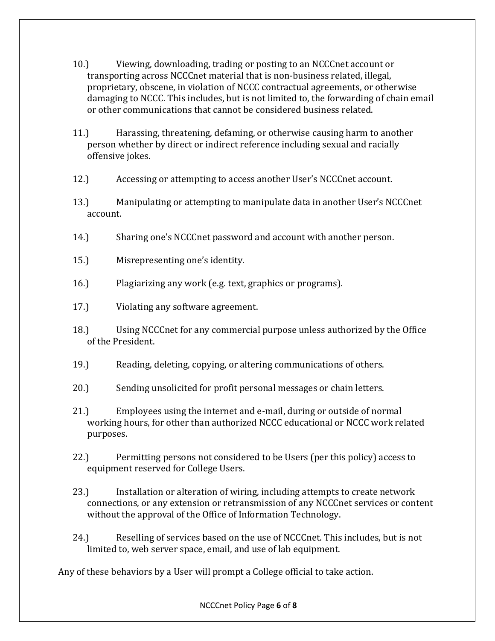- 10.) Viewing, downloading, trading or posting to an NCCCnet account or transporting across NCCCnet material that is non-business related, illegal, proprietary, obscene, in violation of NCCC contractual agreements, or otherwise damaging to NCCC. This includes, but is not limited to, the forwarding of chain email or other communications that cannot be considered business related.
- 11.) Harassing, threatening, defaming, or otherwise causing harm to another person whether by direct or indirect reference including sexual and racially offensive jokes.
- 12.) Accessing or attempting to access another User's NCCCnet account.
- 13.) Manipulating or attempting to manipulate data in another User's NCCCnet account.
- 14.) Sharing one's NCCCnet password and account with another person.
- 15.) Misrepresenting one's identity.
- 16.) Plagiarizing any work (e.g. text, graphics or programs).
- 17.) Violating any software agreement.
- 18.) Using NCCCnet for any commercial purpose unless authorized by the Office of the President.
- 19.) Reading, deleting, copying, or altering communications of others.
- 20.) Sending unsolicited for profit personal messages or chain letters.
- 21.) Employees using the internet and e-mail, during or outside of normal working hours, for other than authorized NCCC educational or NCCC work related purposes.
- 22.) Permitting persons not considered to be Users (per this policy) access to equipment reserved for College Users.
- 23.) Installation or alteration of wiring, including attempts to create network connections, or any extension or retransmission of any NCCCnet services or content without the approval of the Office of Information Technology.
- 24.) Reselling of services based on the use of NCCCnet. This includes, but is not limited to, web server space, email, and use of lab equipment.

Any of these behaviors by a User will prompt a College official to take action.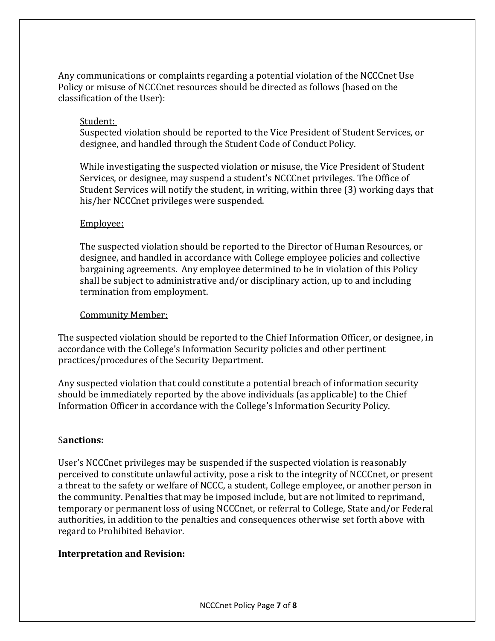Any communications or complaints regarding a potential violation of the NCCCnet Use Policy or misuse of NCCCnet resources should be directed as follows (based on the classification of the User):

#### Student:

Suspected violation should be reported to the Vice President of Student Services, or designee, and handled through the Student Code of Conduct Policy.

While investigating the suspected violation or misuse, the Vice President of Student Services, or designee, may suspend a student's NCCCnet privileges. The Office of Student Services will notify the student, in writing, within three (3) working days that his/her NCCCnet privileges were suspended.

#### Employee:

The suspected violation should be reported to the Director of Human Resources, or designee, and handled in accordance with College employee policies and collective bargaining agreements. Any employee determined to be in violation of this Policy shall be subject to administrative and/or disciplinary action, up to and including termination from employment.

#### Community Member:

The suspected violation should be reported to the Chief Information Officer, or designee, in accordance with the College's Information Security policies and other pertinent practices/procedures of the Security Department.

Any suspected violation that could constitute a potential breach of information security should be immediately reported by the above individuals (as applicable) to the Chief Information Officer in accordance with the College's Information Security Policy.

#### S**anctions:**

User's NCCCnet privileges may be suspended if the suspected violation is reasonably perceived to constitute unlawful activity, pose a risk to the integrity of NCCCnet, or present a threat to the safety or welfare of NCCC, a student, College employee, or another person in the community. Penalties that may be imposed include, but are not limited to reprimand, temporary or permanent loss of using NCCCnet, or referral to College, State and/or Federal authorities, in addition to the penalties and consequences otherwise set forth above with regard to Prohibited Behavior.

#### **Interpretation and Revision:**